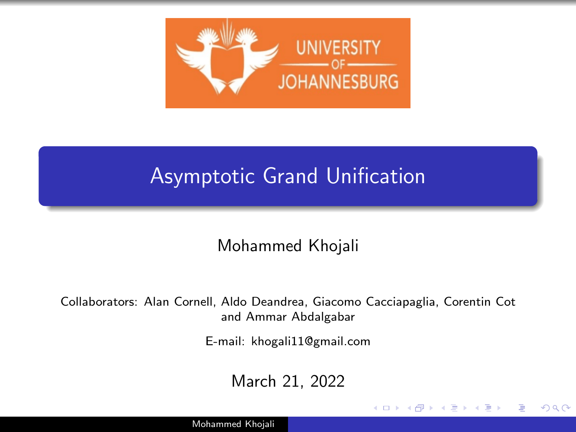

#### Asymptotic Grand Unification

Mohammed Khojali

Collaborators: Alan Cornell, Aldo Deandrea, Giacomo Cacciapaglia, Corentin Cot and Ammar Abdalgabar

E-mail: khogali11@gmail.com

March 21, 2022

4 17 18

Э×

 $200$ 

Mohammed Khojali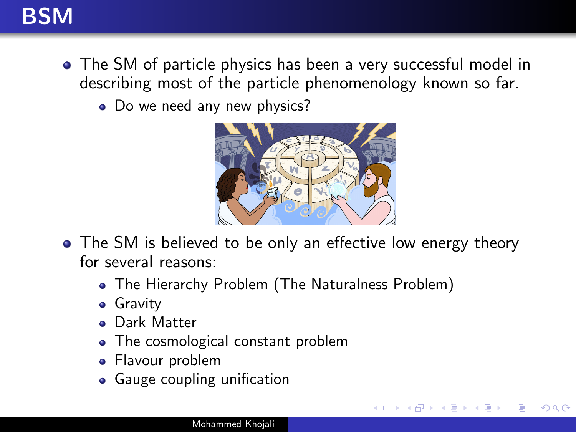

- The SM of particle physics has been a very successful model in describing most of the particle phenomenology known so far.
	- Do we need any new physics?



• The SM is believed to be only an effective low energy theory for several reasons:

- The Hierarchy Problem (The Naturalness Problem)
- **•** Gravity
- **o** Dark Matter
- The cosmological constant problem
- Flavour problem
- Gauge coupling unification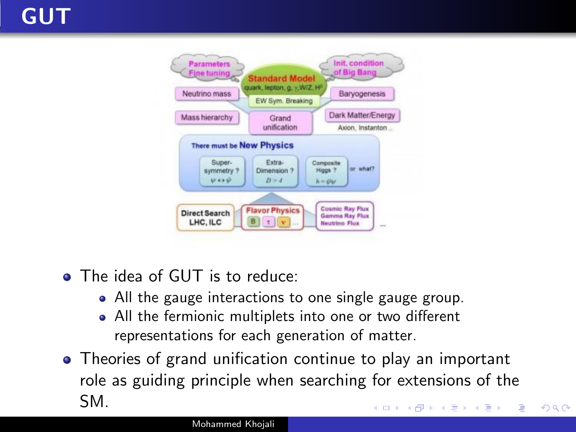

- The idea of GUT is to reduce:
	- All the gauge interactions to one single gauge group.
	- All the fermionic multiplets into one or two different representations for each generation of matter.
- Theories of grand unification continue to play an important role as guiding principle when searching for extensions of the SM. **∢ロト ⊀母 ▶ ∢∃ ▶ ∢∃ ▶**.. э

 $\Omega$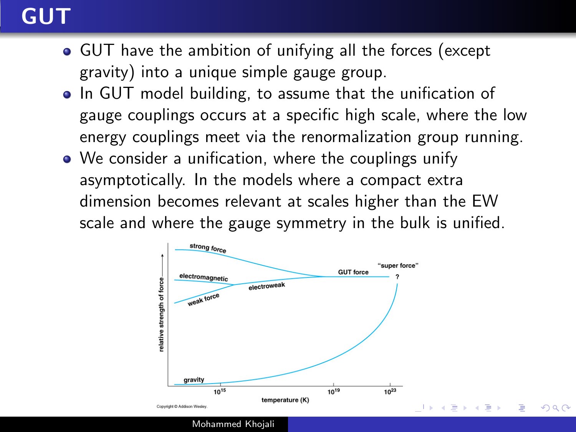### GUT

- GUT have the ambition of unifying all the forces (except gravity) into a unique simple gauge group.
- In GUT model building, to assume that the unification of gauge couplings occurs at a specific high scale, where the low energy couplings meet via the renormalization group running.
- We consider a unification, where the couplings unify asymptotically. In the models where a compact extra dimension becomes relevant at scales higher than the EW scale and where the gauge symmetry in the bulk is unified.



Mohammed Khojali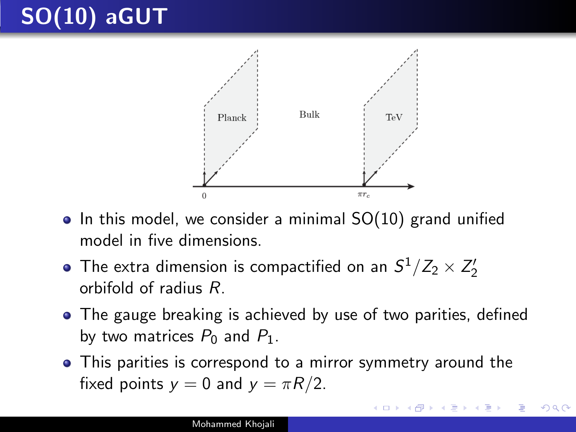

- $\bullet$  In this model, we consider a minimal  $SO(10)$  grand unified model in five dimensions.
- The extra dimension is compactified on an  $S^1/Z_2 \times Z'_2$ orbifold of radius R.
- The gauge breaking is achieved by use of two parities, defined by two matrices  $P_0$  and  $P_1$ .
- This parities is correspond to a mirror symmetry around the fixed points  $y = 0$  and  $y = \pi R/2$ .

つくい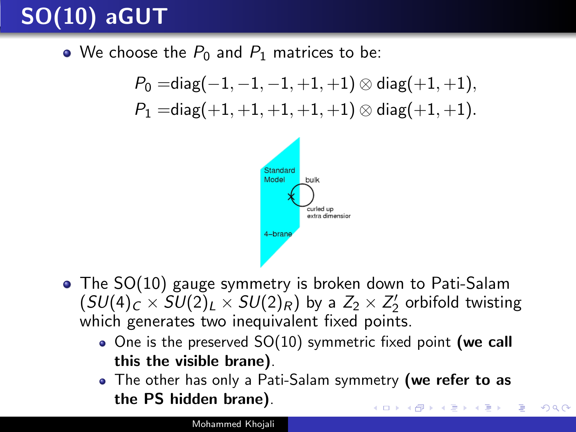• We choose the  $P_0$  and  $P_1$  matrices to be:

$$
\begin{aligned} P_0=&\mathsf{diag}(-1,-1,-1,+1,+1)\otimes\mathsf{diag}(+1,+1),\\ P_1=&\mathsf{diag}(+1,+1,+1,+1,+1)\otimes\mathsf{diag}(+1,+1).\end{aligned}
$$



- The SO(10) gauge symmetry is broken down to Pati-Salam  $(SU(4)_C \times SU(2)_L \times SU(2)_R)$  by a  $Z_2 \times Z_2'$  orbifold twisting which generates two inequivalent fixed points.
	- $\bullet$  One is the preserved SO(10) symmetric fixed point (we call this the visible brane).
	- The other has only a Pati-Salam symmetry (we refer to as the PS hidden brane).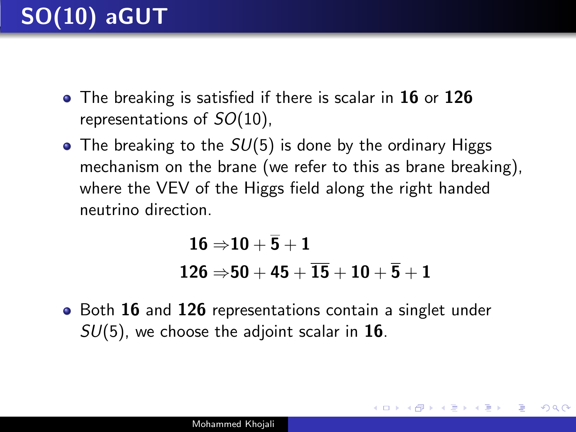- $\bullet$  The breaking is satisfied if there is scalar in 16 or 126 representations of  $SO(10)$ ,
- The breaking to the  $SU(5)$  is done by the ordinary Higgs mechanism on the brane (we refer to this as brane breaking), where the VEV of the Higgs field along the right handed neutrino direction.

$$
{\bf 16\Rightarrow} {\bf 10+\overline{5}+1} \\ {\bf 126\Rightarrow} {\bf 50+45+\overline{15}+10+\overline{5}+1}
$$

 $200$ 

• Both 16 and 126 representations contain a singlet under  $SU(5)$ , we choose the adjoint scalar in 16.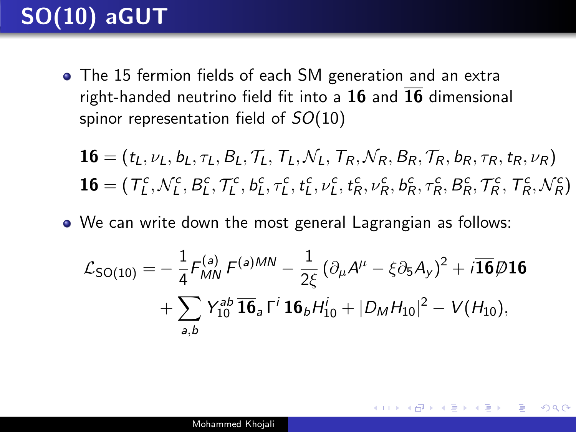The 15 fermion fields of each SM generation and an extra right-handed neutrino field fit into a 16 and  $\overline{16}$  dimensional spinor representation field of  $SO(10)$ 

$$
16 = (t_L, \nu_L, b_L, \tau_L, B_L, \mathcal{T}_L, \mathcal{T}_L, \mathcal{N}_L, T_R, \mathcal{N}_R, B_R, \mathcal{T}_R, b_R, \tau_R, t_R, \nu_R)
$$
  

$$
\overline{16} = (\mathcal{T}_L^c, \mathcal{N}_L^c, B_L^c, \mathcal{T}_L^c, b_L^c, \tau_L^c, t_L^c, \nu_L^c, t_R^c, \nu_R^c, b_R^c, \tau_R^c, B_R^c, \mathcal{T}_R^c, \mathcal{T}_R^c, \mathcal{N}_R^c)
$$

We can write down the most general Lagrangian as follows:

$$
\mathcal{L}_{SO(10)} = -\frac{1}{4} F_{MN}^{(a)} F^{(a)MN} - \frac{1}{2\xi} (\partial_{\mu} A^{\mu} - \xi \partial_{5} A_{y})^{2} + i \overline{\mathbf{16}} \varnothing \mathbf{16}
$$

$$
+ \sum_{a,b} Y_{10}^{ab} \overline{\mathbf{16}}_{a} \Gamma^{i} \mathbf{16}_{b} H_{10}^{i} + |D_{M} H_{10}|^{2} - V(H_{10}),
$$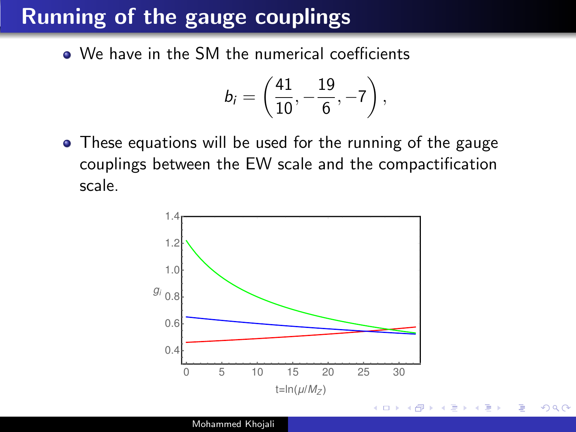### Running of the gauge couplings

• We have in the SM the numerical coefficients

$$
b_i = \left(\frac{41}{10}, -\frac{19}{6}, -7\right),
$$

• These equations will be used for the running of the gauge couplings between the EW scale and the compactification scale.



 $QQ$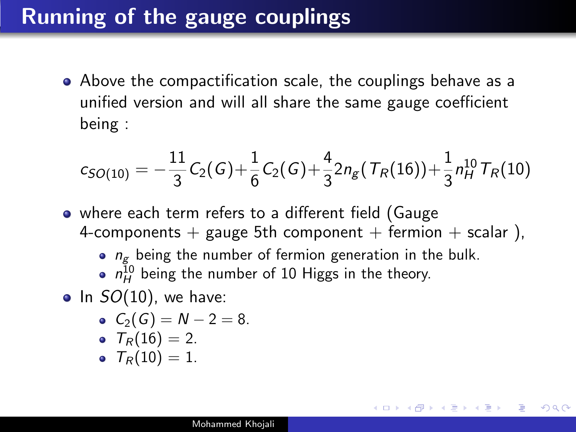### Running of the gauge couplings

Above the compactification scale, the couplings behave as a unified version and will all share the same gauge coefficient being :

$$
c_{SO(10)} = -\frac{11}{3}C_2(G) + \frac{1}{6}C_2(G) + \frac{4}{3}2n_g(T_R(16)) + \frac{1}{3}n_H^{10}T_R(10)
$$

- where each term refers to a different field (Gauge 4-components + gauge 5th component + fermion + scalar),
	- $\bullet$   $n_{\sigma}$  being the number of fermion generation in the bulk.

AP ▶ ◀ ヨ ▶ ◀ ヨ ▶

- $n_H^{10}$  being the number of 10 Higgs in the theory.
- $\bullet$  In  $SO(10)$ , we have:

$$
\bullet \ \ C_2(G)=N-2=8.
$$

$$
\bullet \ \ T_R(16)=2.
$$

$$
\bullet \ \ \mathcal{T}_{R}(10)=1.
$$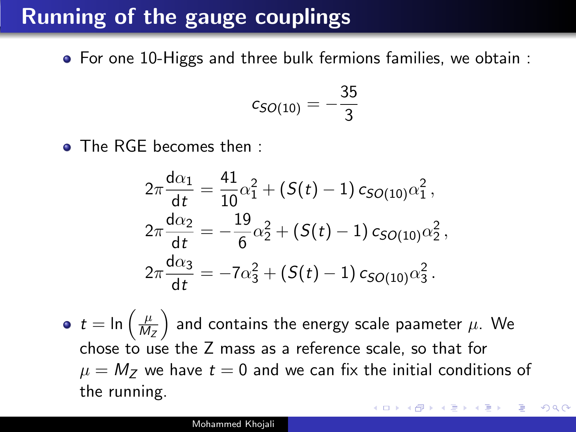## Running of the gauge couplings

For one 10-Higgs and three bulk fermions families, we obtain :

$$
c_{SO(10)} = -\frac{35}{3}
$$

• The RGE becomes then :

$$
2\pi \frac{d\alpha_1}{dt} = \frac{41}{10}\alpha_1^2 + (S(t) - 1) c_{SO(10)}\alpha_1^2,
$$
  
\n
$$
2\pi \frac{d\alpha_2}{dt} = -\frac{19}{6}\alpha_2^2 + (S(t) - 1) c_{SO(10)}\alpha_2^2,
$$
  
\n
$$
2\pi \frac{d\alpha_3}{dt} = -7\alpha_3^2 + (S(t) - 1) c_{SO(10)}\alpha_3^2.
$$

 $t = \ln\left(\frac{\mu}{M}\right)$  $M_Z$  $\big)$  and contains the energy scale paameter  $\mu.$  We chose to use the Z mass as a reference scale, so that for  $\mu = M_Z$  we have  $t = 0$  and we can fix the initial conditions of the running.

つくい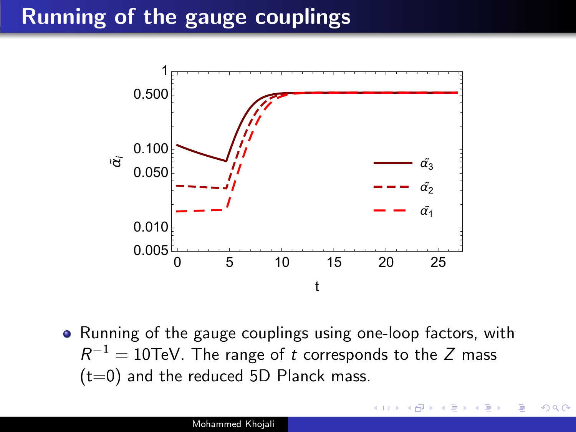<span id="page-11-0"></span>

• Running of the gauge couplings using one-loop factors, with  $R^{-1}=10\hbox{TeV}$ . The range of  $t$  corresponds to the  $Z$  mass  $(t=0)$  and the reduced 5D Planck mass.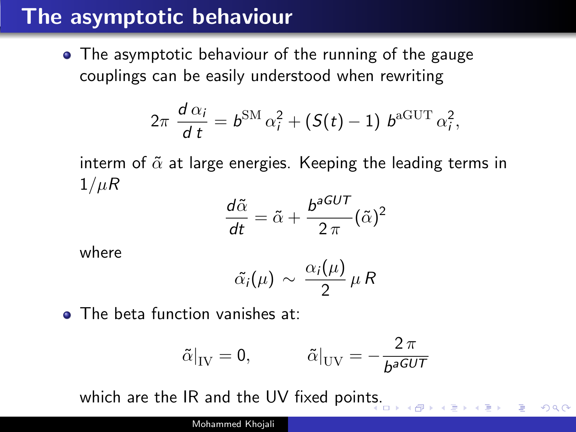#### The asymptotic behaviour

The asymptotic behaviour of the running of the gauge couplings can be easily understood when rewriting

$$
2\pi \frac{d\alpha_i}{dt} = b^{\rm SM}\alpha_i^2 + (S(t)-1)\ b^{\rm aGUT}\alpha_i^2,
$$

interm of  $\tilde{\alpha}$  at large energies. Keeping the leading terms in  $1/\mu R$ 

$$
\frac{d\tilde{\alpha}}{dt} = \tilde{\alpha} + \frac{b^{aGUT}}{2\pi} (\tilde{\alpha})^2
$$

where

$$
\tilde{\alpha_i}(\mu) \sim \frac{\alpha_i(\mu)}{2} \mu R
$$

**o** The beta function vanishes at:

$$
\tilde{\alpha}|_{\rm IV} = 0, \qquad \qquad \tilde{\alpha}|_{\rm UV} = -\frac{2\,\pi}{b^{aGUT}}
$$

 $QQ$ 

which are the IR and the UV fixed poin[ts.](#page-11-0)

Mohammed Khojali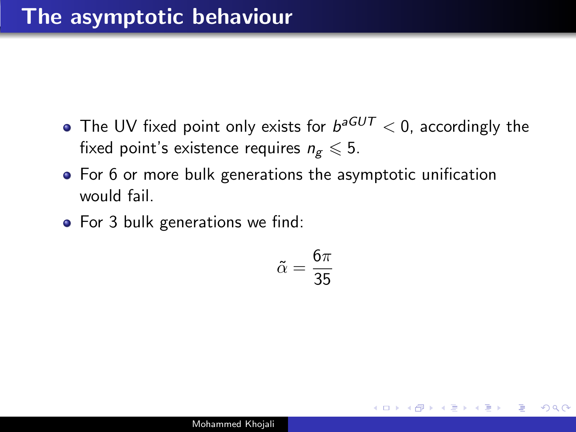- The UV fixed point only exists for  $b^{aGUT}< 0$ , accordingly the fixed point's existence requires  $n_g \leq 5$ .
- For 6 or more bulk generations the asymptotic unification would fail.
- For 3 bulk generations we find:

$$
\tilde{\alpha}=\frac{6\pi}{35}
$$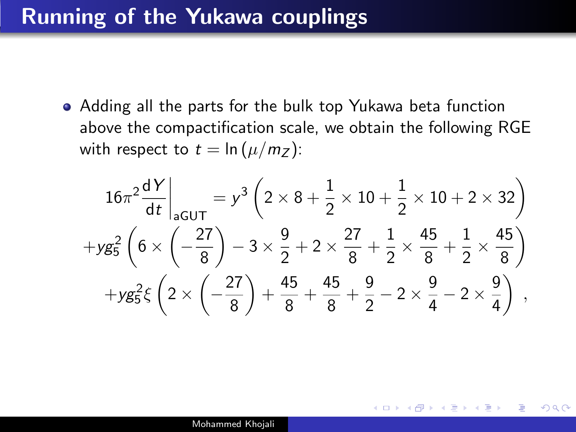#### Running of the Yukawa couplings

Adding all the parts for the bulk top Yukawa beta function above the compactification scale, we obtain the following RGE with respect to  $t = \ln(\mu/m_Z)$ :

$$
16\pi^2 \frac{dY}{dt}\Big|_{aGUT} = y^3 \left(2 \times 8 + \frac{1}{2} \times 10 + \frac{1}{2} \times 10 + 2 \times 32\right)
$$
  
+
$$
yg_5^2 \left(6 \times \left(-\frac{27}{8}\right) - 3 \times \frac{9}{2} + 2 \times \frac{27}{8} + \frac{1}{2} \times \frac{45}{8} + \frac{1}{2} \times \frac{45}{8}\right)
$$
  
+
$$
yg_5^2 \xi \left(2 \times \left(-\frac{27}{8}\right) + \frac{45}{8} + \frac{45}{8} + \frac{9}{2} - 2 \times \frac{9}{4} - 2 \times \frac{9}{4}\right)
$$

 $\Omega$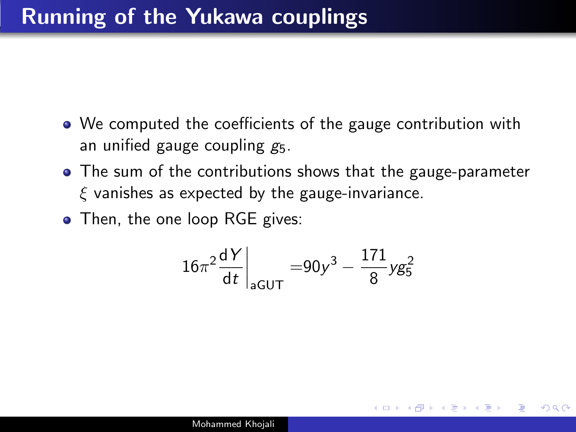- We computed the coefficients of the gauge contribution with an unified gauge coupling  $g_5$ .
- The sum of the contributions shows that the gauge-parameter  $\xi$  vanishes as expected by the gauge-invariance.
- Then, the one loop RGE gives:

$$
16\pi^2 \frac{dY}{dt}\bigg|_{aGUT} = 90y^3 - \frac{171}{8}yg_5^2
$$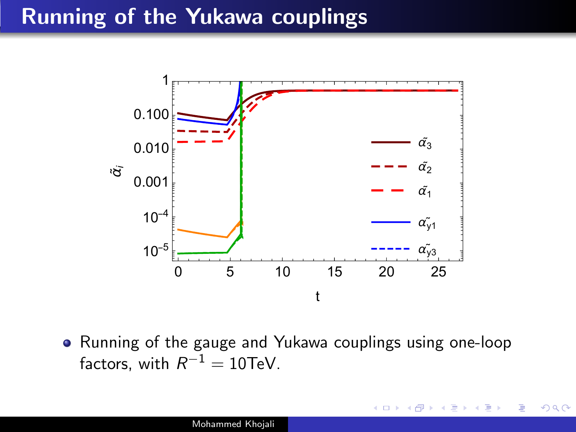#### Running of the Yukawa couplings



• Running of the gauge and Yukawa couplings using one-loop factors, with  $R^{-1} = 10 \text{TeV}$ .

 $\Omega$